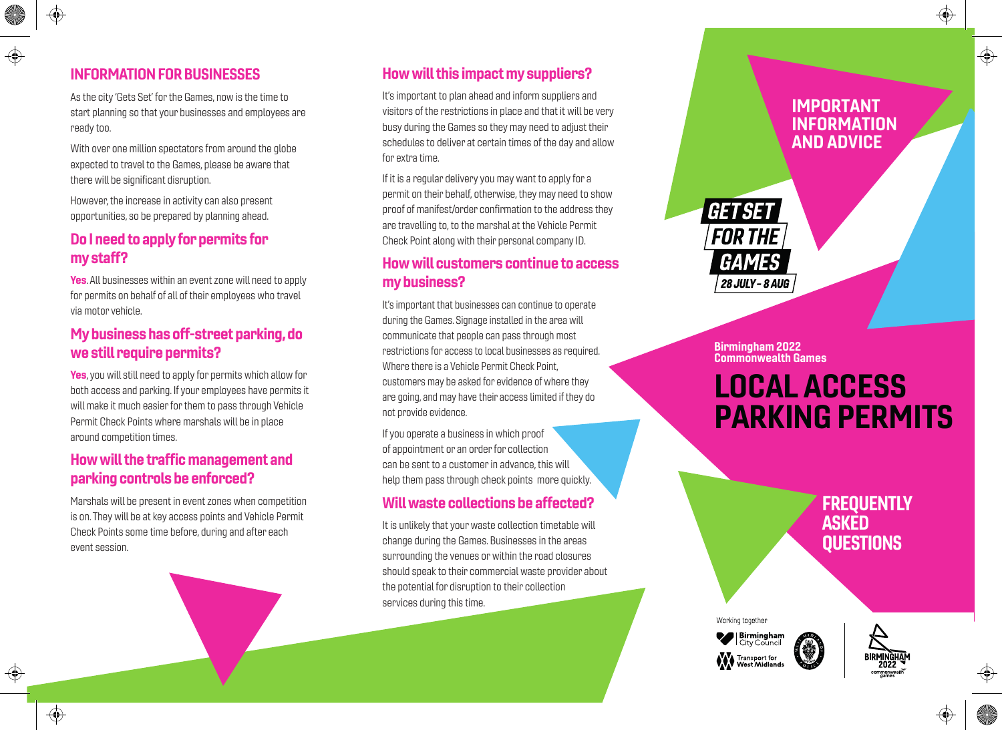#### INFORMATION FOR BUSINESSES

 $\bigoplus$ 

 $\bigoplus$ 

 $\bigoplus$ 

As the city 'Gets Set' for the Games, now is the time to start planning so that your businesses and employees are ready too.

With over one million spectators from around the globe expected to travel to the Games, please be aware that there will be significant disruption.

However, the increase in activity can also present opportunities, so be prepared by planning ahead.

#### Do I need to apply for permits for my staff?

Yes. All businesses within an event zone will need to apply for permits on behalf of all of their employees who travel via motor vehicle.

# My business has off-street parking, do we still require permits?

Yes, you will still need to apply for permits which allow for both access and parking. If your employees have permits it will make it much easier for them to pass through Vehicle Permit Check Points where marshals will be in place around competition times.

# How will the traffic management and parking controls be enforced?

Marshals will be present in event zones when competition is on. They will be at key access points and Vehicle Permit Check Points some time before, during and after each event session.

#### How will this impact my suppliers?

It's important to plan ahead and inform suppliers and visitors of the restrictions in place and that it will be very busy during the Games so they may need to adjust their schedules to deliver at certain times of the day and allow for extra time.

If it is a regular delivery you may want to apply for a permit on their behalf, otherwise, they may need to show proof of manifest/order confirmation to the address they are travelling to, to the marshal at the Vehicle Permit Check Point along with their personal company ID.

#### How will customers continue to access my business?

It's important that businesses can continue to operate during the Games. Signage installed in the area will communicate that people can pass through most restrictions for access to local businesses as required. Where there is a Vehicle Permit Check Point, customers may be asked for evidence of where they are going, and may have their access limited if they do not provide evidence.

If you operate a business in which proof of appointment or an order for collection can be sent to a customer in advance, this will help them pass through check points more quickly.

#### Will waste collections be affected?

It is unlikely that your waste collection timetable will change during the Games. Businesses in the areas surrounding the venues or within the road closures should speak to their commercial waste provider about the potential for disruption to their collection services during this time.

Birmingham 2022 Commonwealth Games

**GETSET** 

**FOR THE** 

**GAMES** 

**28 JULY - 8 AUG** 

# LOCAL ACCESS PARKING PERMITS

**FREQUENTLY** ASKED **OUESTIONS** 

Working together **Explaining ham** 

**We** Transport for<br>West Midlands



♠

 $\Leftrightarrow$ 

IMPORTANT **INFORMATION** AND ADVICE